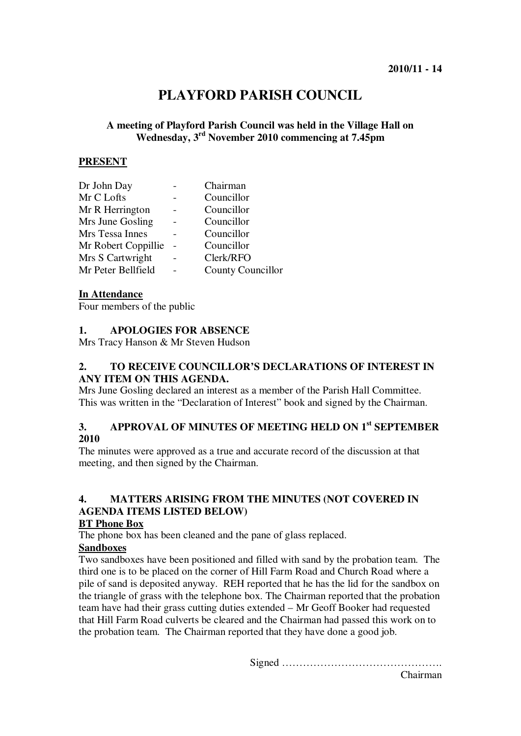# **PLAYFORD PARISH COUNCIL**

## **A meeting of Playford Parish Council was held in the Village Hall on Wednesday, 3rd November 2010 commencing at 7.45pm**

#### **PRESENT**

| Chairman          |
|-------------------|
| Councillor        |
| Councillor        |
| Councillor        |
| Councillor        |
| Councillor        |
| Clerk/RFO         |
| County Councillor |
|                   |

#### **In Attendance**

Four members of the public

#### **1. APOLOGIES FOR ABSENCE**

Mrs Tracy Hanson & Mr Steven Hudson

#### **2. TO RECEIVE COUNCILLOR'S DECLARATIONS OF INTEREST IN ANY ITEM ON THIS AGENDA.**

Mrs June Gosling declared an interest as a member of the Parish Hall Committee. This was written in the "Declaration of Interest" book and signed by the Chairman.

## **3. APPROVAL OF MINUTES OF MEETING HELD ON 1st SEPTEMBER 2010**

The minutes were approved as a true and accurate record of the discussion at that meeting, and then signed by the Chairman.

## **4. MATTERS ARISING FROM THE MINUTES (NOT COVERED IN AGENDA ITEMS LISTED BELOW)**

#### **BT Phone Box**

The phone box has been cleaned and the pane of glass replaced.

## **Sandboxes**

Two sandboxes have been positioned and filled with sand by the probation team. The third one is to be placed on the corner of Hill Farm Road and Church Road where a pile of sand is deposited anyway. REH reported that he has the lid for the sandbox on the triangle of grass with the telephone box. The Chairman reported that the probation team have had their grass cutting duties extended – Mr Geoff Booker had requested that Hill Farm Road culverts be cleared and the Chairman had passed this work on to the probation team. The Chairman reported that they have done a good job.

Signed ……………………………………….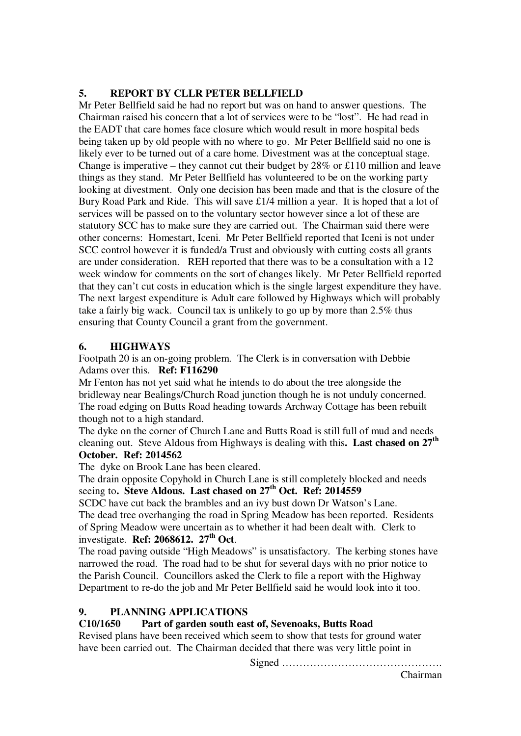## **5. REPORT BY CLLR PETER BELLFIELD**

Mr Peter Bellfield said he had no report but was on hand to answer questions. The Chairman raised his concern that a lot of services were to be "lost". He had read in the EADT that care homes face closure which would result in more hospital beds being taken up by old people with no where to go. Mr Peter Bellfield said no one is likely ever to be turned out of a care home. Divestment was at the conceptual stage. Change is imperative – they cannot cut their budget by 28% or £110 million and leave things as they stand. Mr Peter Bellfield has volunteered to be on the working party looking at divestment. Only one decision has been made and that is the closure of the Bury Road Park and Ride. This will save £1/4 million a year. It is hoped that a lot of services will be passed on to the voluntary sector however since a lot of these are statutory SCC has to make sure they are carried out. The Chairman said there were other concerns: Homestart, Iceni. Mr Peter Bellfield reported that Iceni is not under SCC control however it is funded/a Trust and obviously with cutting costs all grants are under consideration. REH reported that there was to be a consultation with a 12 week window for comments on the sort of changes likely. Mr Peter Bellfield reported that they can't cut costs in education which is the single largest expenditure they have. The next largest expenditure is Adult care followed by Highways which will probably take a fairly big wack. Council tax is unlikely to go up by more than 2.5% thus ensuring that County Council a grant from the government.

### **6. HIGHWAYS**

Footpath 20 is an on-going problem. The Clerk is in conversation with Debbie Adams over this. **Ref: F116290**

Mr Fenton has not yet said what he intends to do about the tree alongside the bridleway near Bealings/Church Road junction though he is not unduly concerned. The road edging on Butts Road heading towards Archway Cottage has been rebuilt though not to a high standard.

The dyke on the corner of Church Lane and Butts Road is still full of mud and needs cleaning out. Steve Aldous from Highways is dealing with this**. Last chased on 27th October. Ref: 2014562** 

The dyke on Brook Lane has been cleared.

The drain opposite Copyhold in Church Lane is still completely blocked and needs seeing to**. Steve Aldous. Last chased on 27th Oct. Ref: 2014559** 

SCDC have cut back the brambles and an ivy bust down Dr Watson's Lane. The dead tree overhanging the road in Spring Meadow has been reported. Residents of Spring Meadow were uncertain as to whether it had been dealt with. Clerk to investigate. **Ref: 2068612. 27th Oct**.

The road paving outside "High Meadows" is unsatisfactory. The kerbing stones have narrowed the road. The road had to be shut for several days with no prior notice to the Parish Council. Councillors asked the Clerk to file a report with the Highway Department to re-do the job and Mr Peter Bellfield said he would look into it too.

### **9. PLANNING APPLICATIONS**

### **C10/1650 Part of garden south east of, Sevenoaks, Butts Road**

Revised plans have been received which seem to show that tests for ground water have been carried out. The Chairman decided that there was very little point in

Signed ……………………………………….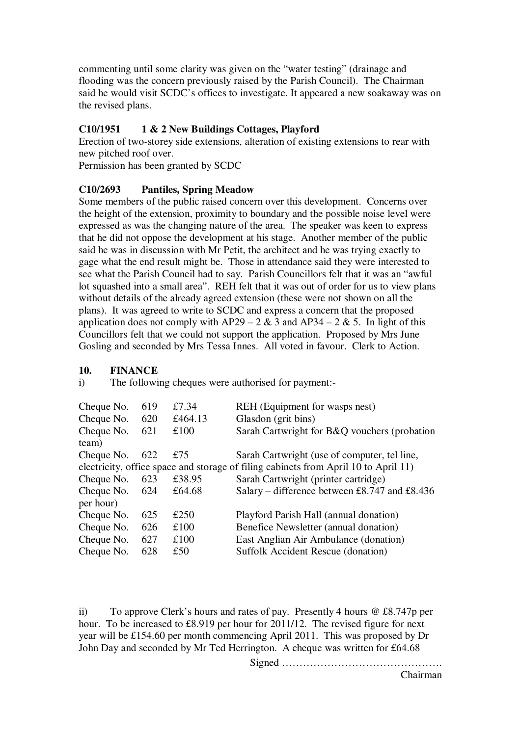commenting until some clarity was given on the "water testing" (drainage and flooding was the concern previously raised by the Parish Council). The Chairman said he would visit SCDC's offices to investigate. It appeared a new soakaway was on the revised plans.

## **C10/1951 1 & 2 New Buildings Cottages, Playford**

Erection of two-storey side extensions, alteration of existing extensions to rear with new pitched roof over.

Permission has been granted by SCDC

## **C10/2693 Pantiles, Spring Meadow**

Some members of the public raised concern over this development. Concerns over the height of the extension, proximity to boundary and the possible noise level were expressed as was the changing nature of the area. The speaker was keen to express that he did not oppose the development at his stage. Another member of the public said he was in discussion with Mr Petit, the architect and he was trying exactly to gage what the end result might be. Those in attendance said they were interested to see what the Parish Council had to say. Parish Councillors felt that it was an "awful lot squashed into a small area". REH felt that it was out of order for us to view plans without details of the already agreed extension (these were not shown on all the plans). It was agreed to write to SCDC and express a concern that the proposed application does not comply with AP29 – 2 & 3 and AP34 – 2 & 5. In light of this Councillors felt that we could not support the application. Proposed by Mrs June Gosling and seconded by Mrs Tessa Innes. All voted in favour. Clerk to Action.

#### **10. FINANCE**

i) The following cheques were authorised for payment:-

| Cheque No.                                                                          | 619 | £7.34   | REH (Equipment for wasps nest)                |  |
|-------------------------------------------------------------------------------------|-----|---------|-----------------------------------------------|--|
| Cheque No.                                                                          | 620 | £464.13 | Glasdon (grit bins)                           |  |
| Cheque No.                                                                          | 621 | £100    | Sarah Cartwright for B&Q vouchers (probation  |  |
| team)                                                                               |     |         |                                               |  |
| Cheque No.                                                                          | 622 | £75     | Sarah Cartwright (use of computer, tel line,  |  |
| electricity, office space and storage of filing cabinets from April 10 to April 11) |     |         |                                               |  |
| Cheque No.                                                                          | 623 | £38.95  | Sarah Cartwright (printer cartridge)          |  |
| Cheque No.                                                                          | 624 | £64.68  | Salary – difference between £8.747 and £8.436 |  |
| per hour)                                                                           |     |         |                                               |  |
| Cheque No.                                                                          | 625 | £250    | Playford Parish Hall (annual donation)        |  |
| Cheque No.                                                                          | 626 | £100    | Benefice Newsletter (annual donation)         |  |
| Cheque No.                                                                          | 627 | £100    | East Anglian Air Ambulance (donation)         |  |
| Cheque No.                                                                          | 628 | £50     | <b>Suffolk Accident Rescue (donation)</b>     |  |

ii) To approve Clerk's hours and rates of pay. Presently 4 hours @ £8.747p per hour. To be increased to £8.919 per hour for 2011/12. The revised figure for next year will be £154.60 per month commencing April 2011. This was proposed by Dr John Day and seconded by Mr Ted Herrington. A cheque was written for £64.68

Signed ……………………………………….